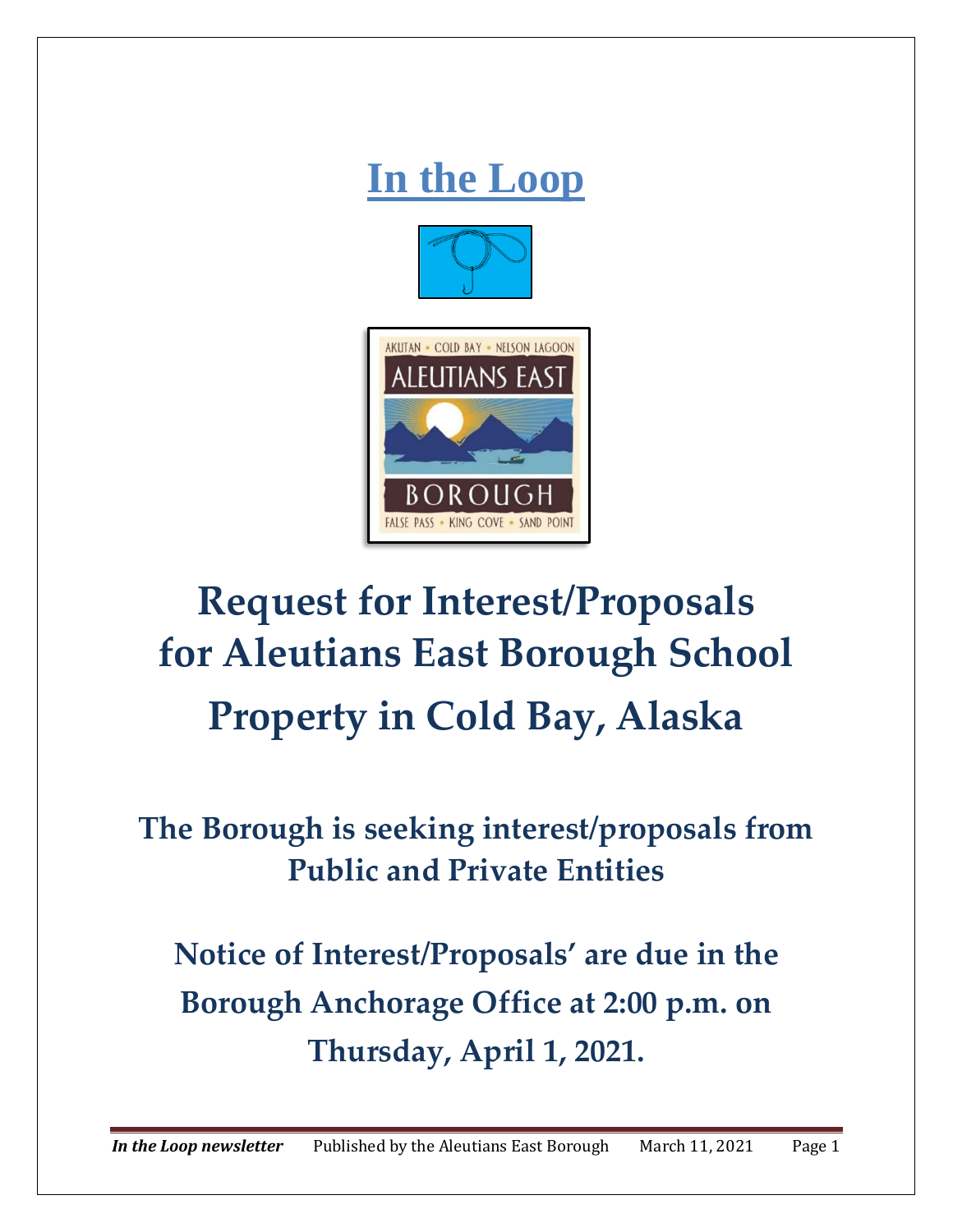

# **Request for Interest/Proposals for Aleutians East Borough School Property in Cold Bay, Alaska**

## **The Borough is seeking interest/proposals from Public and Private Entities**

**Notice of Interest/Proposals' are due in the Borough Anchorage Office at 2:00 p.m. on Thursday, April 1, 2021.**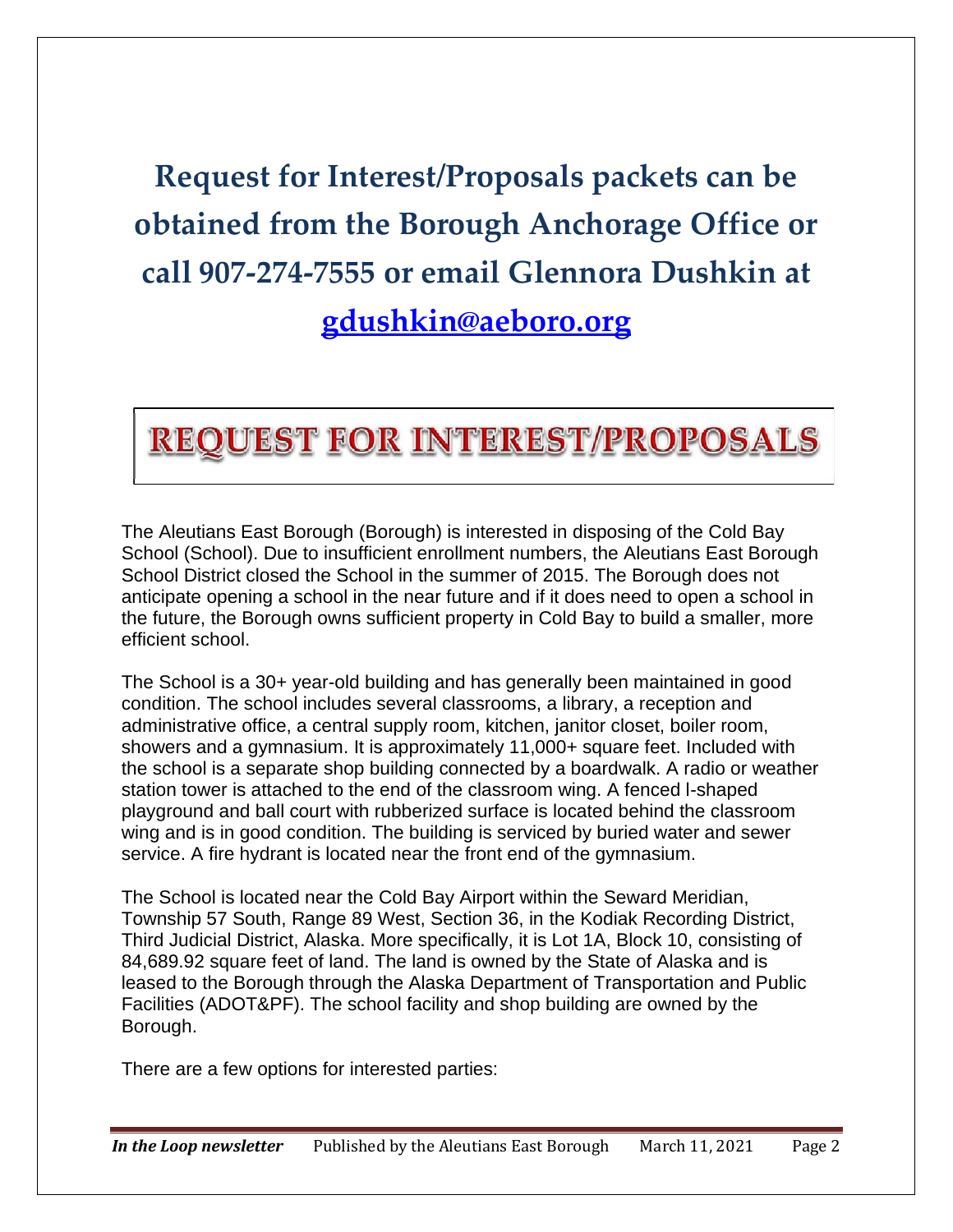# **Request for Interest/Proposals packets can be obtained from the Borough Anchorage Office or call 907‐274‐7555 or email Glennora Dushkin at [gdushkin@aeboro.org](mailto:gdushkin@aeboro.org)**

## **REQUEST FOR INTEREST/PROPOSALS**

The Aleutians East Borough (Borough) is interested in disposing of the Cold Bay School (School). Due to insufficient enrollment numbers, the Aleutians East Borough School District closed the School in the summer of 2015. The Borough does not anticipate opening a school in the near future and if it does need to open a school in the future, the Borough owns sufficient property in Cold Bay to build a smaller, more efficient school.

The School is a 30+ year-old building and has generally been maintained in good condition. The school includes several classrooms, a library, a reception and administrative office, a central supply room, kitchen, janitor closet, boiler room, showers and a gymnasium. It is approximately 11,000+ square feet. Included with the school is a separate shop building connected by a boardwalk. A radio or weather station tower is attached to the end of the classroom wing. A fenced l-shaped playground and ball court with rubberized surface is located behind the classroom wing and is in good condition. The building is serviced by buried water and sewer service. A fire hydrant is located near the front end of the gymnasium.

The School is located near the Cold Bay Airport within the Seward Meridian, Township 57 South, Range 89 West, Section 36, in the Kodiak Recording District, Third Judicial District, Alaska. More specifically, it is Lot 1A, Block 10, consisting of 84,689.92 square feet of land. The land is owned by the State of Alaska and is leased to the Borough through the Alaska Department of Transportation and Public Facilities (ADOT&PF). The school facility and shop building are owned by the Borough.

There are a few options for interested parties: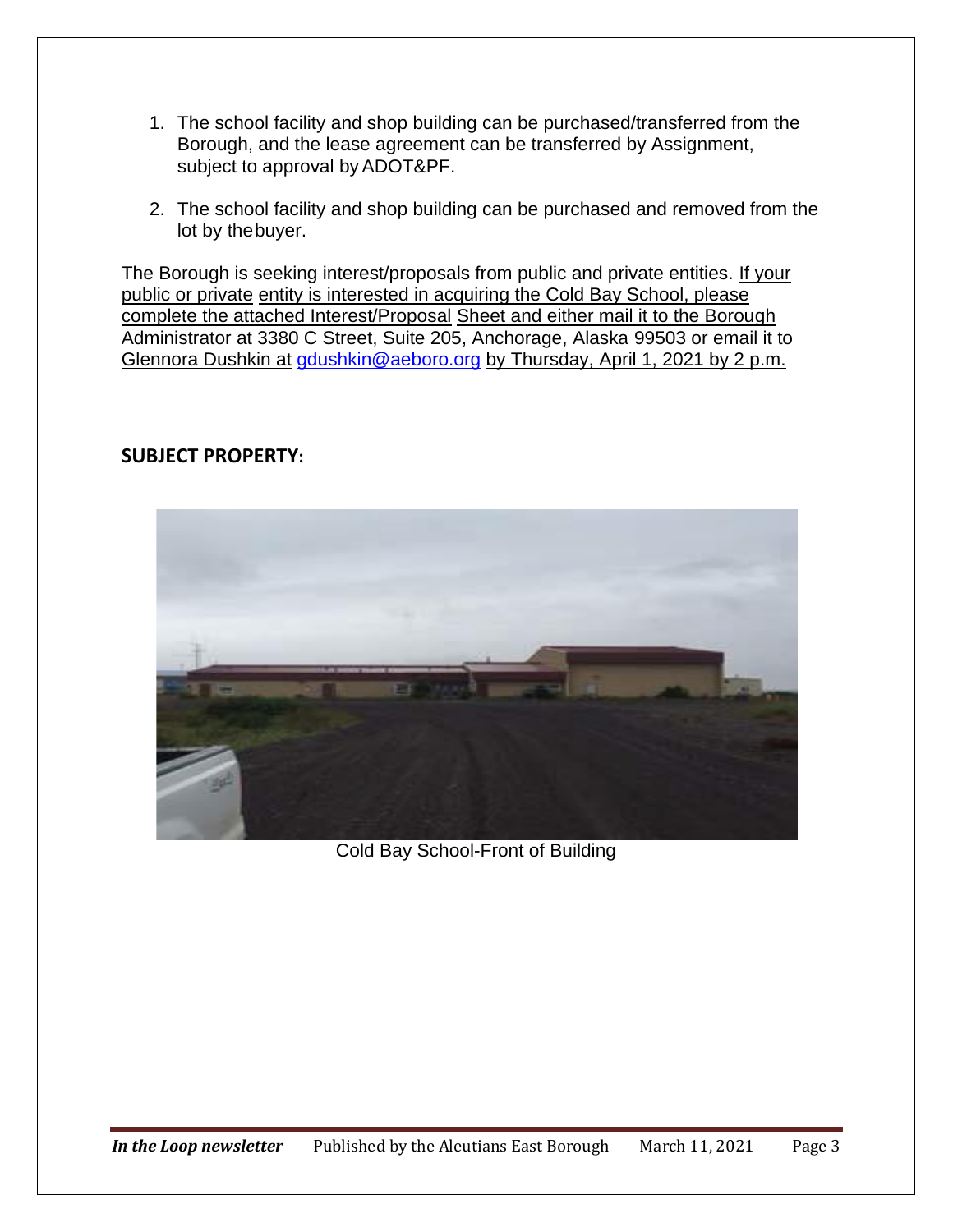- 1. The school facility and shop building can be purchased/transferred from the Borough, and the lease agreement can be transferred by Assignment, subject to approval by ADOT&PF.
- 2. The school facility and shop building can be purchased and removed from the lot by thebuyer.

The Borough is seeking interest/proposals from public and private entities. If your public or private entity is interested in acquiring the Cold Bay School, please complete the attached Interest/Proposal Sheet and either mail it to the Borough Administrator at 3380 C Street, Suite 205, Anchorage, Alaska 99503 or email it to Glennora Dushkin at [gdushkin@aeboro.org](mailto:gdushkin@aeboro.org) by Thursday, April 1, 2021 by 2 p.m.

#### **SUBJECT PROPERTY:**



Cold Bay School-Front of Building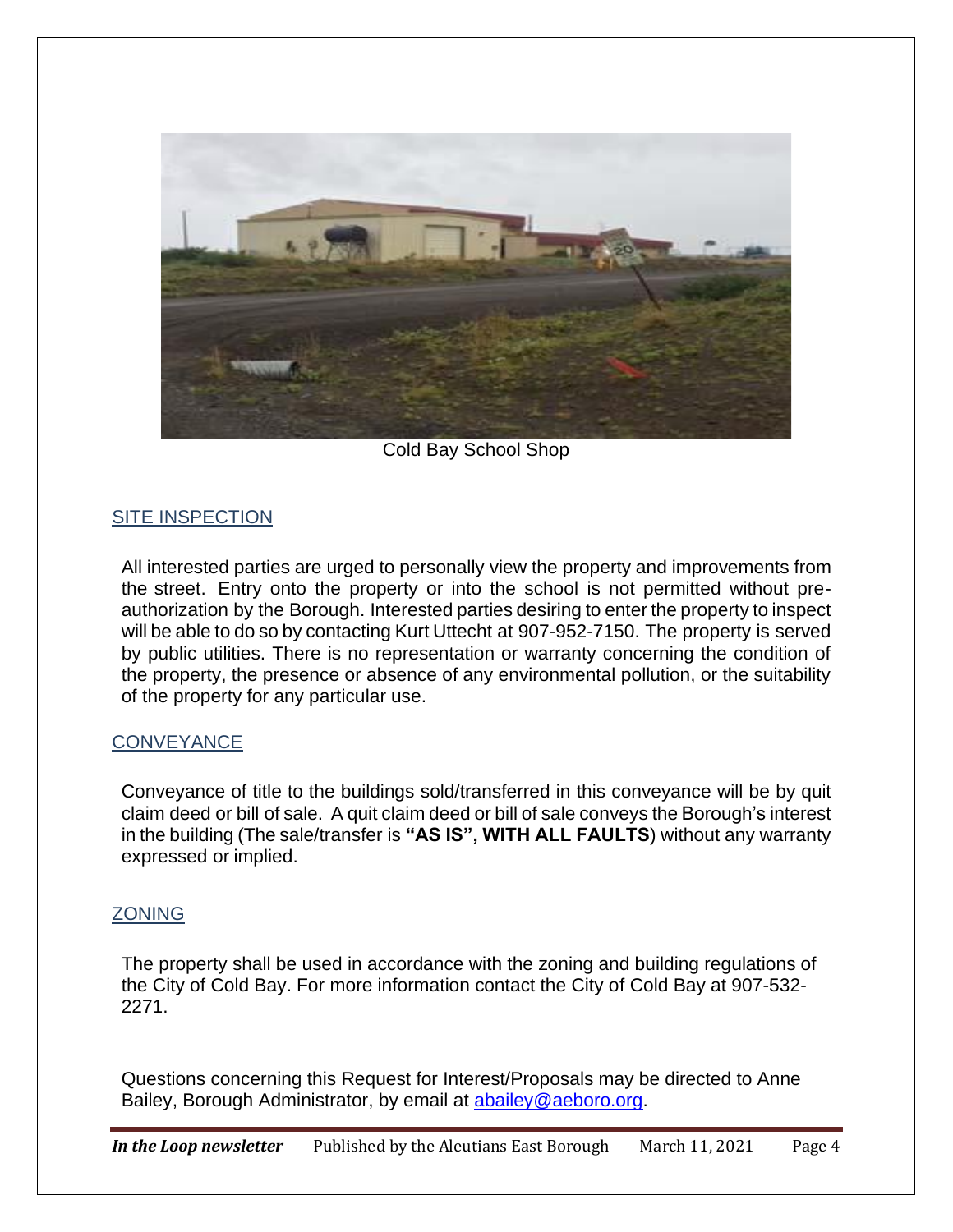

Cold Bay School Shop

#### SITE INSPECTION

All interested parties are urged to personally view the property and improvements from the street. Entry onto the property or into the school is not permitted without preauthorization by the Borough. Interested parties desiring to enter the property to inspect will be able to do so by contacting Kurt Uttecht at 907-952-7150. The property is served by public utilities. There is no representation or warranty concerning the condition of the property, the presence or absence of any environmental pollution, or the suitability of the property for any particular use.

#### **CONVEYANCE**

Conveyance of title to the buildings sold/transferred in this conveyance will be by quit claim deed or bill of sale. A quit claim deed or bill of sale conveys the Borough's interest in the building (The sale/transfer is **"AS IS", WITH ALL FAULTS**) without any warranty expressed or implied.

#### ZONING

The property shall be used in accordance with the zoning and building regulations of the City of Cold Bay. For more information contact the City of Cold Bay at 907-532- 2271.

Questions concerning this Request for Interest/Proposals may be directed to Anne Bailey, Borough Administrator, by email at [abailey@aeboro.org.](mailto:abailey@aeboro.org)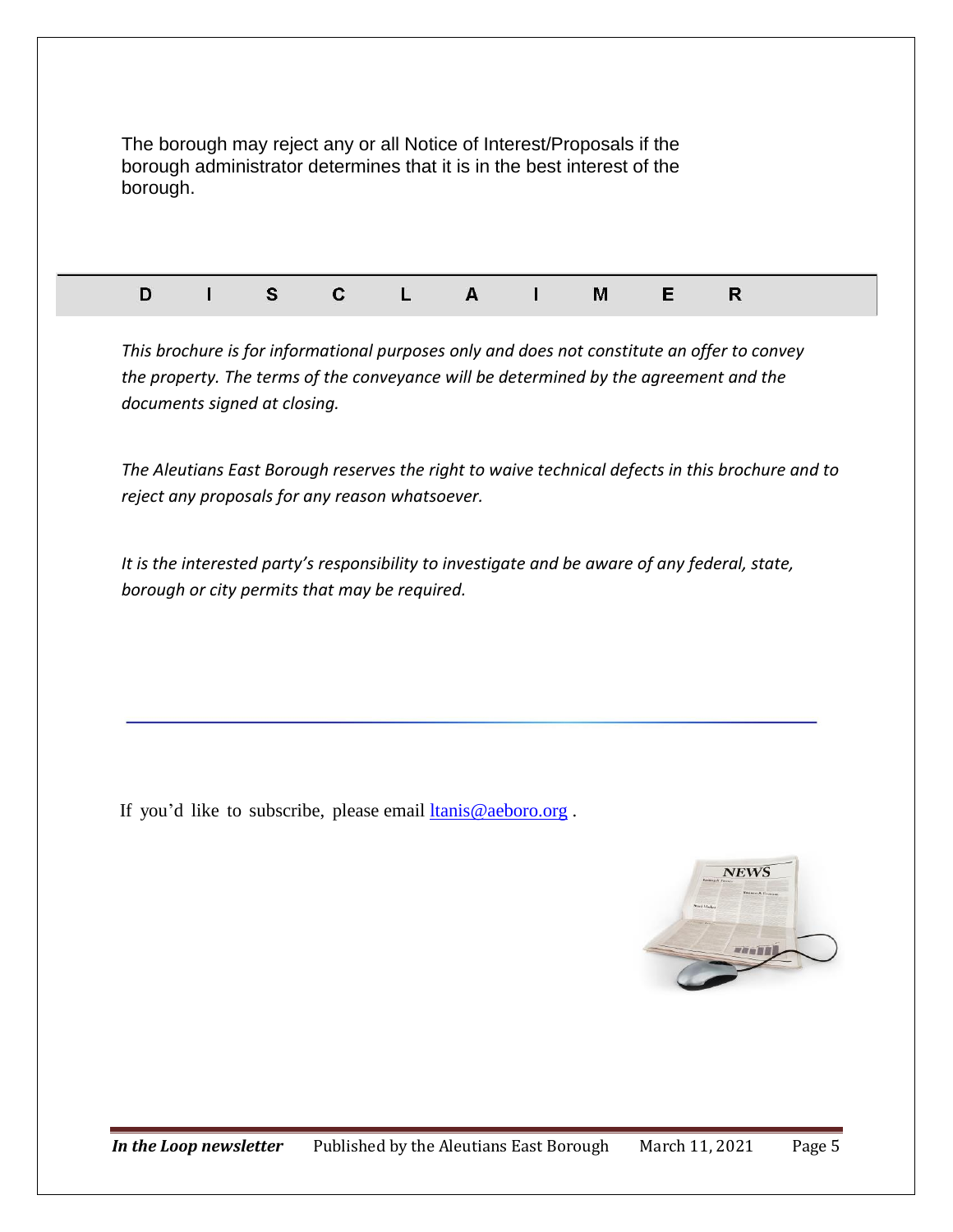| borough. |          |   |   | The borough may reject any or all Notice of Interest/Proposals if the<br>borough administrator determines that it is in the best interest of the |   |   |  |
|----------|----------|---|---|--------------------------------------------------------------------------------------------------------------------------------------------------|---|---|--|
| D        | <b>S</b> | C | A | М                                                                                                                                                | Е | R |  |

*This brochure is for informational purposes only and does not constitute an offer to convey the property. The terms of the conveyance will be determined by the agreement and the documents signed at closing.*

*The Aleutians East Borough reserves the right to waive technical defects in this brochure and to reject any proposals for any reason whatsoever.*

*It is the interested party's responsibility to investigate and be aware of any federal, state, borough or city permits that may be required.*

If you'd like to subscribe, please email **ltanis@aeboro.org**.